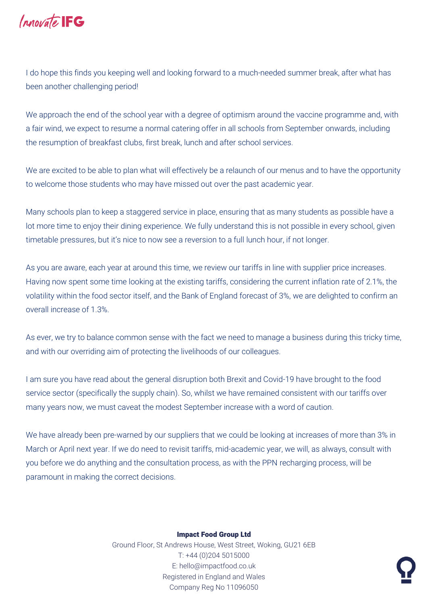

I do hope this finds you keeping well and looking forward to a much-needed summer break, after what has been another challenging period!

We approach the end of the school year with a degree of optimism around the vaccine programme and, with a fair wind, we expect to resume a normal catering offer in all schools from September onwards, including the resumption of breakfast clubs, first break, lunch and after school services.

We are excited to be able to plan what will effectively be a relaunch of our menus and to have the opportunity to welcome those students who may have missed out over the past academic year.

Many schools plan to keep a staggered service in place, ensuring that as many students as possible have a lot more time to enjoy their dining experience. We fully understand this is not possible in every school, given timetable pressures, but it's nice to now see a reversion to a full lunch hour, if not longer.

As you are aware, each year at around this time, we review our tariffs in line with supplier price increases. Having now spent some time looking at the existing tariffs, considering the current inflation rate of 2.1%, the volatility within the food sector itself, and the Bank of England forecast of 3%, we are delighted to confirm an overall increase of 1.3%.

As ever, we try to balance common sense with the fact we need to manage a business during this tricky time, and with our overriding aim of protecting the livelihoods of our colleagues.

I am sure you have read about the general disruption both Brexit and Covid-19 have brought to the food service sector (specifically the supply chain). So, whilst we have remained consistent with our tariffs over many years now, we must caveat the modest September increase with a word of caution.

We have already been pre-warned by our suppliers that we could be looking at increases of more than 3% in March or April next year. If we do need to revisit tariffs, mid-academic year, we will, as always, consult with you before we do anything and the consultation process, as with the PPN recharging process, will be paramount in making the correct decisions.

## Impact Food Group Ltd

Ground Floor, St Andrews House, West Street, Woking, GU21 6EB T: +44 (0)204 5015000 E: hello@impactfood.co.uk Registered in England and Wales Company Reg No 11096050